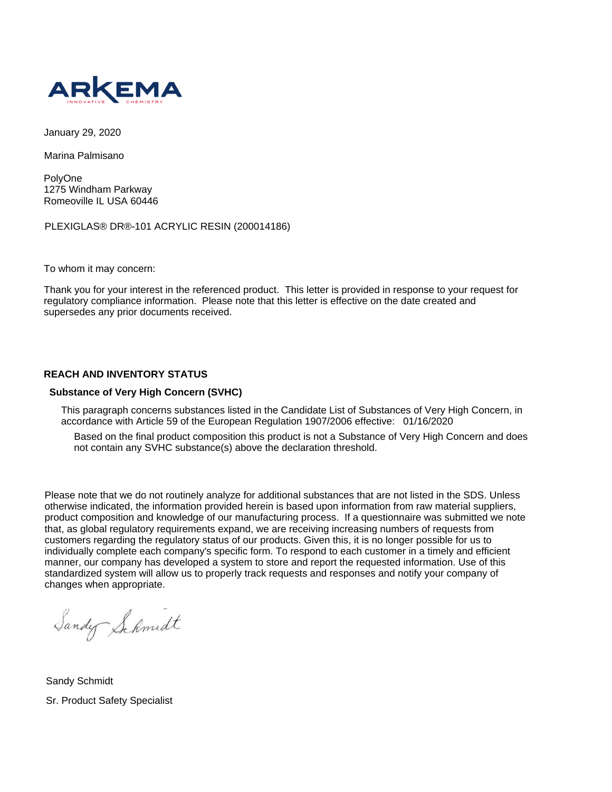

January 29, 2020

Marina Palmisano

PolyOne 1275 Windham Parkway Romeoville IL USA 60446

PLEXIGLAS® DR®-101 ACRYLIC RESIN (200014186)

To whom it may concern:

Thank you for your interest in the referenced product. This letter is provided in response to your request for regulatory compliance information. Please note that this letter is effective on the date created and supersedes any prior documents received.

## **REACH AND INVENTORY STATUS**

## **Substance of Very High Concern (SVHC)**

This paragraph concerns substances listed in the Candidate List of Substances of Very High Concern, in accordance with Article 59 of the European Regulation 1907/2006 effective: 01/16/2020

Based on the final product composition this product is not a Substance of Very High Concern and does not contain any SVHC substance(s) above the declaration threshold.

Please note that we do not routinely analyze for additional substances that are not listed in the SDS. Unless otherwise indicated, the information provided herein is based upon information from raw material suppliers, product composition and knowledge of our manufacturing process. If a questionnaire was submitted we note that, as global regulatory requirements expand, we are receiving increasing numbers of requests from customers regarding the regulatory status of our products. Given this, it is no longer possible for us to individually complete each company's specific form. To respond to each customer in a timely and efficient manner, our company has developed a system to store and report the requested information. Use of this standardized system will allow us to properly track requests and responses and notify your company of changes when appropriate.

Sandy Schmidt

Sandy Schmidt Sr. Product Safety Specialist